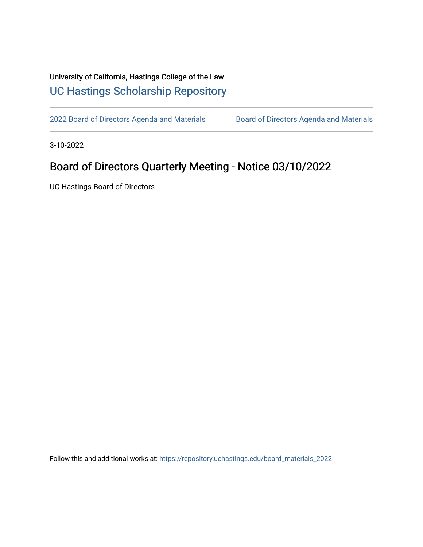## University of California, Hastings College of the Law [UC Hastings Scholarship Repository](https://repository.uchastings.edu/)

[2022 Board of Directors Agenda and Materials](https://repository.uchastings.edu/board_materials_2022) Board of Directors Agenda and Materials

3-10-2022

## Board of Directors Quarterly Meeting - Notice 03/10/2022

UC Hastings Board of Directors

Follow this and additional works at: [https://repository.uchastings.edu/board\\_materials\\_2022](https://repository.uchastings.edu/board_materials_2022?utm_source=repository.uchastings.edu%2Fboard_materials_2022%2F20&utm_medium=PDF&utm_campaign=PDFCoverPages)